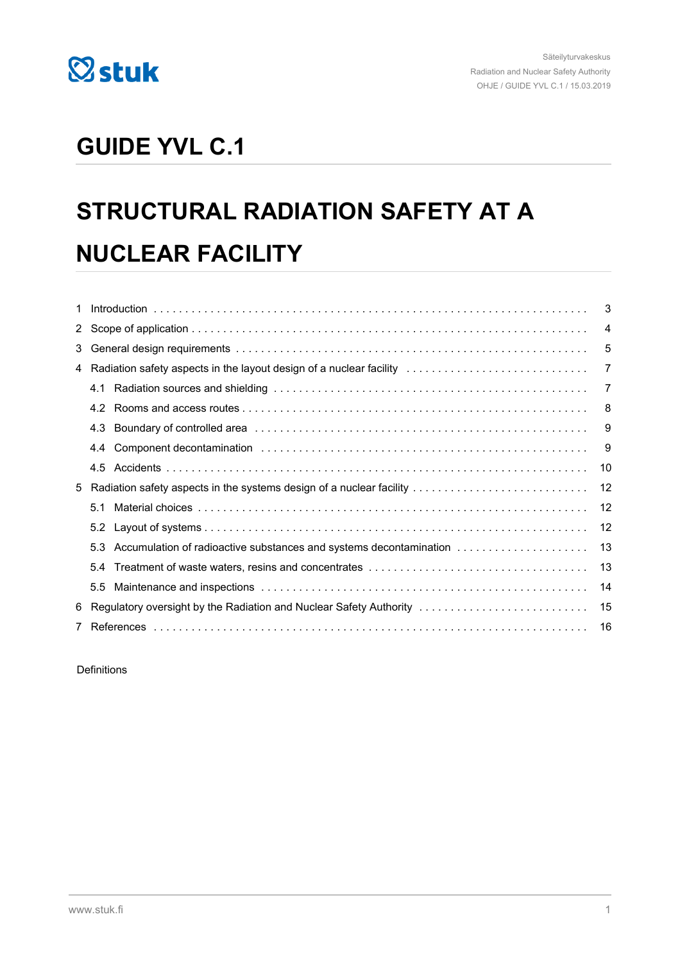

## **GUIDE YVL C.1**

# **STRUCTURAL RADIATION SAFETY AT A NUCLEAR FACILITY**

|    |                                                                        |                                                                                                                                                                                                                                | 4  |
|----|------------------------------------------------------------------------|--------------------------------------------------------------------------------------------------------------------------------------------------------------------------------------------------------------------------------|----|
| 3  |                                                                        | 5                                                                                                                                                                                                                              |    |
|    | 4 Radiation safety aspects in the layout design of a nuclear facility  |                                                                                                                                                                                                                                | 7  |
|    | 4.1                                                                    |                                                                                                                                                                                                                                | 7  |
|    | 4.2                                                                    |                                                                                                                                                                                                                                | 8  |
|    | 4.3                                                                    |                                                                                                                                                                                                                                | 9  |
|    | 4.4                                                                    | Component decontamination entertainment contains and the contact of the contamination of the contact of the contact of the contact of the contact of the contact of the contact of the contact of the contact of the contact o | 9  |
|    | 4.5                                                                    |                                                                                                                                                                                                                                | 10 |
|    | 5 Radiation safety aspects in the systems design of a nuclear facility |                                                                                                                                                                                                                                | 12 |
|    | 5.1                                                                    |                                                                                                                                                                                                                                | 12 |
|    |                                                                        |                                                                                                                                                                                                                                | 12 |
|    | 5.3                                                                    | Accumulation of radioactive substances and systems decontamination                                                                                                                                                             | 13 |
|    | 5.4                                                                    |                                                                                                                                                                                                                                | 13 |
|    | 5.5                                                                    |                                                                                                                                                                                                                                | 14 |
| 6. |                                                                        | Regulatory oversight by the Radiation and Nuclear Safety Authority                                                                                                                                                             | 15 |
|    |                                                                        |                                                                                                                                                                                                                                | 16 |
|    |                                                                        |                                                                                                                                                                                                                                |    |

Definitions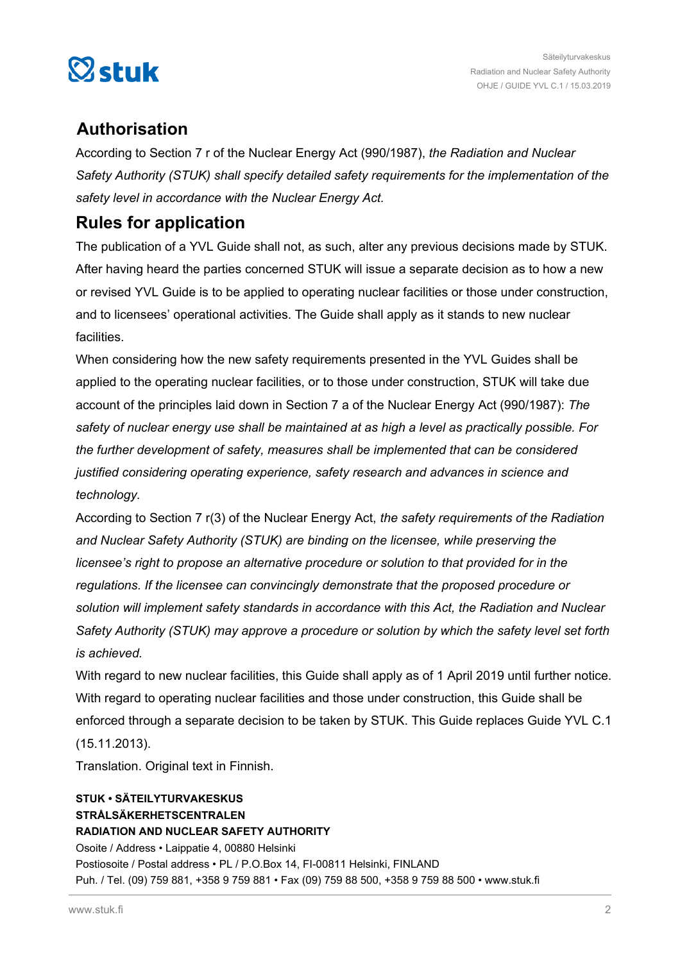

## **Authorisation**

According to Section 7 r of the Nuclear Energy Act (990/1987), *the Radiation and Nuclear Safety Authority (STUK) shall specify detailed safety requirements for the implementation of the safety level in accordance with the Nuclear Energy Act.*

## **Rules for application**

The publication of a YVL Guide shall not, as such, alter any previous decisions made by STUK. After having heard the parties concerned STUK will issue a separate decision as to how a new or revised YVL Guide is to be applied to operating nuclear facilities or those under construction, and to licensees' operational activities. The Guide shall apply as it stands to new nuclear facilities.

When considering how the new safety requirements presented in the YVL Guides shall be applied to the operating nuclear facilities, or to those under construction, STUK will take due account of the principles laid down in Section 7 a of the Nuclear Energy Act (990/1987): *The safety of nuclear energy use shall be maintained at as high a level as practically possible. For the further development of safety, measures shall be implemented that can be considered justified considering operating experience, safety research and advances in science and technology.*

According to Section 7 r(3) of the Nuclear Energy Act, *the safety requirements of the Radiation and Nuclear Safety Authority (STUK) are binding on the licensee, while preserving the licensee's right to propose an alternative procedure or solution to that provided for in the regulations. If the licensee can convincingly demonstrate that the proposed procedure or solution will implement safety standards in accordance with this Act, the Radiation and Nuclear Safety Authority (STUK) may approve a procedure or solution by which the safety level set forth is achieved.*

With regard to new nuclear facilities, this Guide shall apply as of 1 April 2019 until further notice. With regard to operating nuclear facilities and those under construction, this Guide shall be enforced through a separate decision to be taken by STUK. This Guide replaces Guide YVL C.1 (15.11.2013).

Translation. Original text in Finnish.

## **STUK • SÄTEILYTURVAKESKUS STRÅLSÄKERHETSCENTRALEN RADIATION AND NUCLEAR SAFETY AUTHORITY** Osoite / Address • Laippatie 4, 00880 Helsinki Postiosoite / Postal address • PL / P.O.Box 14, FI-00811 Helsinki, FINLAND Puh. / Tel. (09) 759 881, +358 9 759 881 • Fax (09) 759 88 500, +358 9 759 88 500 • www.stuk.fi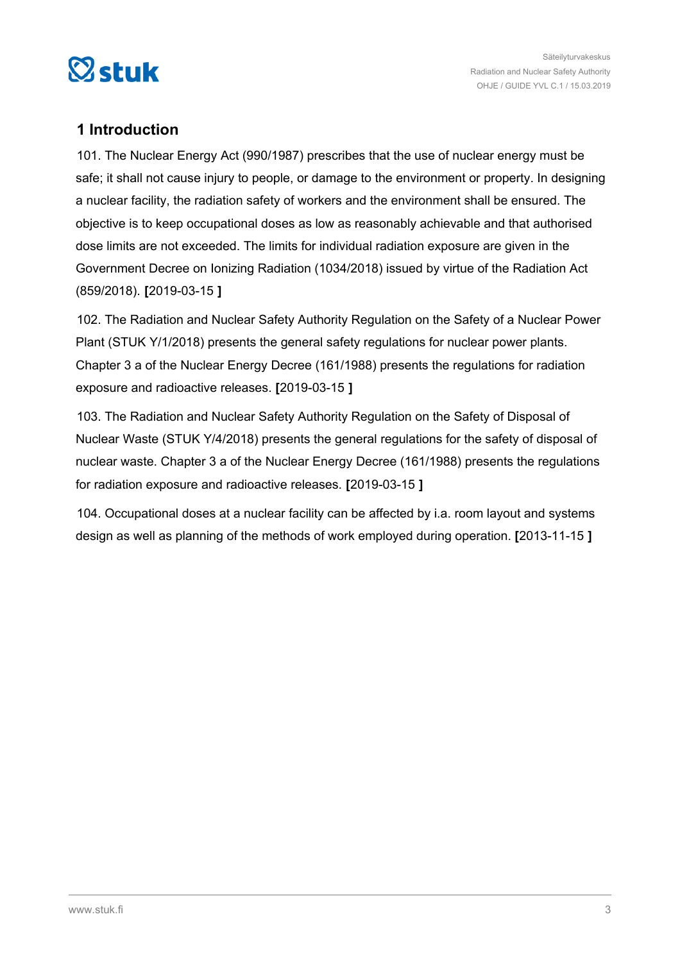<span id="page-2-0"></span>

## **1 Introduction**

101. The Nuclear Energy Act (990/1987) prescribes that the use of nuclear energy must be safe; it shall not cause injury to people, or damage to the environment or property. In designing a nuclear facility, the radiation safety of workers and the environment shall be ensured. The objective is to keep occupational doses as low as reasonably achievable and that authorised dose limits are not exceeded. The limits for individual radiation exposure are given in the Government Decree on Ionizing Radiation (1034/2018) issued by virtue of the Radiation Act (859/2018). **[**2019-03-15 **]**

102. The Radiation and Nuclear Safety Authority Regulation on the Safety of a Nuclear Power Plant (STUK Y/1/2018) presents the general safety regulations for nuclear power plants. Chapter 3 a of the Nuclear Energy Decree (161/1988) presents the regulations for radiation exposure and radioactive releases. **[**2019-03-15 **]**

103. The Radiation and Nuclear Safety Authority Regulation on the Safety of Disposal of Nuclear Waste (STUK Y/4/2018) presents the general regulations for the safety of disposal of nuclear waste. Chapter 3 a of the Nuclear Energy Decree (161/1988) presents the regulations for radiation exposure and radioactive releases. **[**2019-03-15 **]**

104. Occupational doses at a nuclear facility can be affected by i.a. room layout and systems design as well as planning of the methods of work employed during operation. **[**2013-11-15 **]**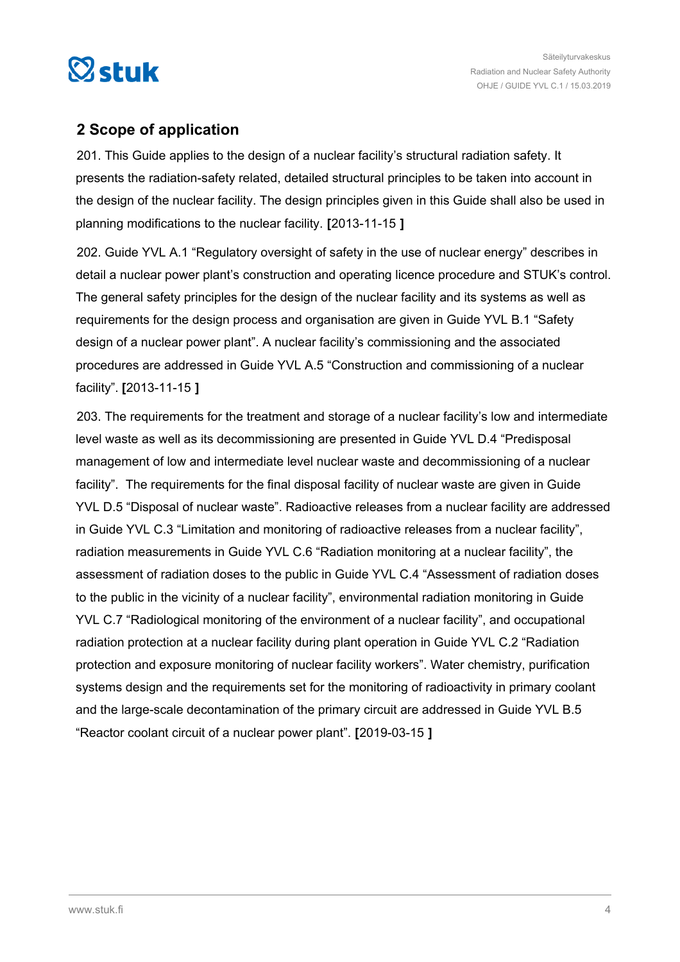<span id="page-3-0"></span>

## **2 Scope of application**

201. This Guide applies to the design of a nuclear facility's structural radiation safety. It presents the radiation-safety related, detailed structural principles to be taken into account in the design of the nuclear facility. The design principles given in this Guide shall also be used in planning modifications to the nuclear facility. **[**2013-11-15 **]**

202. Guide YVL A.1 "Regulatory oversight of safety in the use of nuclear energy" describes in detail a nuclear power plant's construction and operating licence procedure and STUK's control. The general safety principles for the design of the nuclear facility and its systems as well as requirements for the design process and organisation are given in Guide YVL B.1 "Safety design of a nuclear power plant". A nuclear facility's commissioning and the associated procedures are addressed in Guide YVL A.5 "Construction and commissioning of a nuclear facility". **[**2013-11-15 **]**

203. The requirements for the treatment and storage of a nuclear facility's low and intermediate level waste as well as its decommissioning are presented in Guide YVL D.4 "Predisposal management of low and intermediate level nuclear waste and decommissioning of a nuclear facility". The requirements for the final disposal facility of nuclear waste are given in Guide YVL D.5 "Disposal of nuclear waste". Radioactive releases from a nuclear facility are addressed in Guide YVL C.3 "Limitation and monitoring of radioactive releases from a nuclear facility", radiation measurements in Guide YVL C.6 "Radiation monitoring at a nuclear facility", the assessment of radiation doses to the public in Guide YVL C.4 "Assessment of radiation doses to the public in the vicinity of a nuclear facility", environmental radiation monitoring in Guide YVL C.7 "Radiological monitoring of the environment of a nuclear facility", and occupational radiation protection at a nuclear facility during plant operation in Guide YVL C.2 "Radiation protection and exposure monitoring of nuclear facility workers". Water chemistry, purification systems design and the requirements set for the monitoring of radioactivity in primary coolant and the large-scale decontamination of the primary circuit are addressed in Guide YVL B.5 "Reactor coolant circuit of a nuclear power plant". **[**2019-03-15 **]**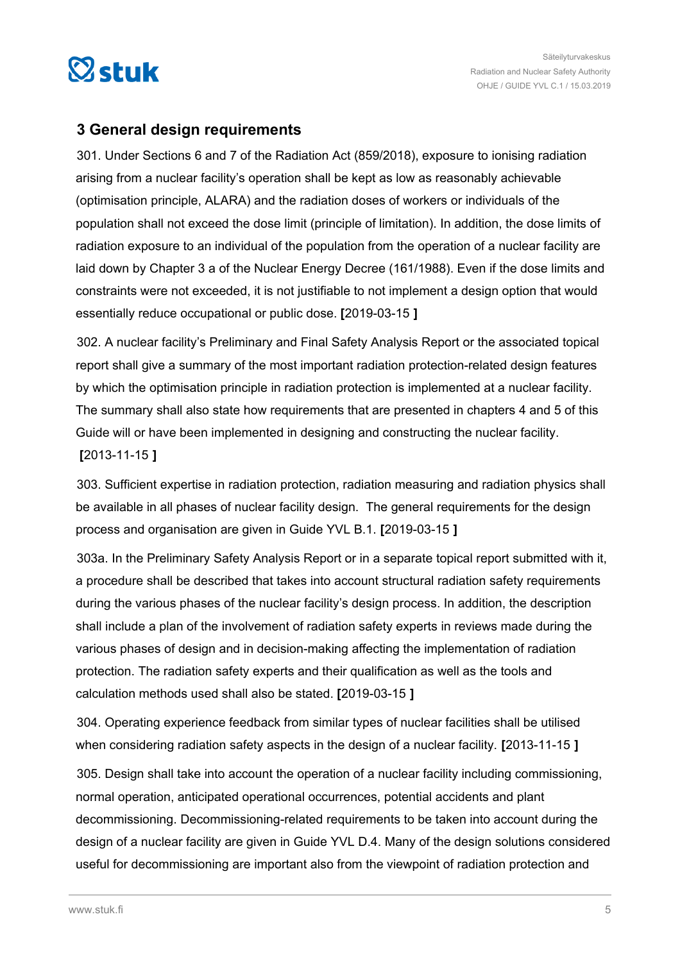<span id="page-4-0"></span>

## **3 General design requirements**

301. Under Sections 6 and 7 of the Radiation Act (859/2018), exposure to ionising radiation arising from a nuclear facility's operation shall be kept as low as reasonably achievable (optimisation principle, ALARA) and the radiation doses of workers or individuals of the population shall not exceed the dose limit (principle of limitation). In addition, the dose limits of radiation exposure to an individual of the population from the operation of a nuclear facility are laid down by Chapter 3 a of the Nuclear Energy Decree (161/1988). Even if the dose limits and constraints were not exceeded, it is not justifiable to not implement a design option that would essentially reduce occupational or public dose. **[**2019-03-15 **]**

302. A nuclear facility's Preliminary and Final Safety Analysis Report or the associated topical report shall give a summary of the most important radiation protection-related design features by which the optimisation principle in radiation protection is implemented at a nuclear facility. The summary shall also state how requirements that are presented in chapters 4 and 5 of this Guide will or have been implemented in designing and constructing the nuclear facility. **[**2013-11-15 **]**

303. Sufficient expertise in radiation protection, radiation measuring and radiation physics shall be available in all phases of nuclear facility design. The general requirements for the design process and organisation are given in Guide YVL B.1. **[**2019-03-15 **]**

303a. In the Preliminary Safety Analysis Report or in a separate topical report submitted with it, a procedure shall be described that takes into account structural radiation safety requirements during the various phases of the nuclear facility's design process. In addition, the description shall include a plan of the involvement of radiation safety experts in reviews made during the various phases of design and in decision-making affecting the implementation of radiation protection. The radiation safety experts and their qualification as well as the tools and calculation methods used shall also be stated. **[**2019-03-15 **]**

304. Operating experience feedback from similar types of nuclear facilities shall be utilised when considering radiation safety aspects in the design of a nuclear facility. **[**2013-11-15 **]**

305. Design shall take into account the operation of a nuclear facility including commissioning, normal operation, anticipated operational occurrences, potential accidents and plant decommissioning. Decommissioning-related requirements to be taken into account during the design of a nuclear facility are given in Guide YVL D.4. Many of the design solutions considered useful for decommissioning are important also from the viewpoint of radiation protection and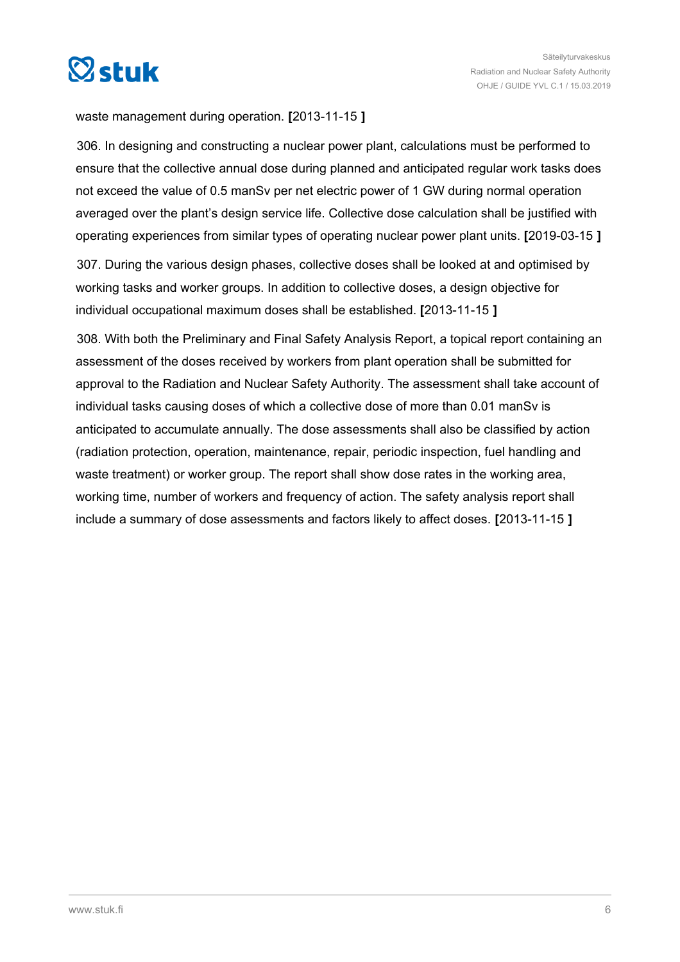

waste management during operation. **[**2013-11-15 **]**

306. In designing and constructing a nuclear power plant, calculations must be performed to ensure that the collective annual dose during planned and anticipated regular work tasks does not exceed the value of 0.5 manSv per net electric power of 1 GW during normal operation averaged over the plant's design service life. Collective dose calculation shall be justified with operating experiences from similar types of operating nuclear power plant units. **[**2019-03-15 **]**

307. During the various design phases, collective doses shall be looked at and optimised by working tasks and worker groups. In addition to collective doses, a design objective for individual occupational maximum doses shall be established. **[**2013-11-15 **]**

308. With both the Preliminary and Final Safety Analysis Report, a topical report containing an assessment of the doses received by workers from plant operation shall be submitted for approval to the Radiation and Nuclear Safety Authority. The assessment shall take account of individual tasks causing doses of which a collective dose of more than 0.01 manSv is anticipated to accumulate annually. The dose assessments shall also be classified by action (radiation protection, operation, maintenance, repair, periodic inspection, fuel handling and waste treatment) or worker group. The report shall show dose rates in the working area, working time, number of workers and frequency of action. The safety analysis report shall include a summary of dose assessments and factors likely to affect doses. **[**2013-11-15 **]**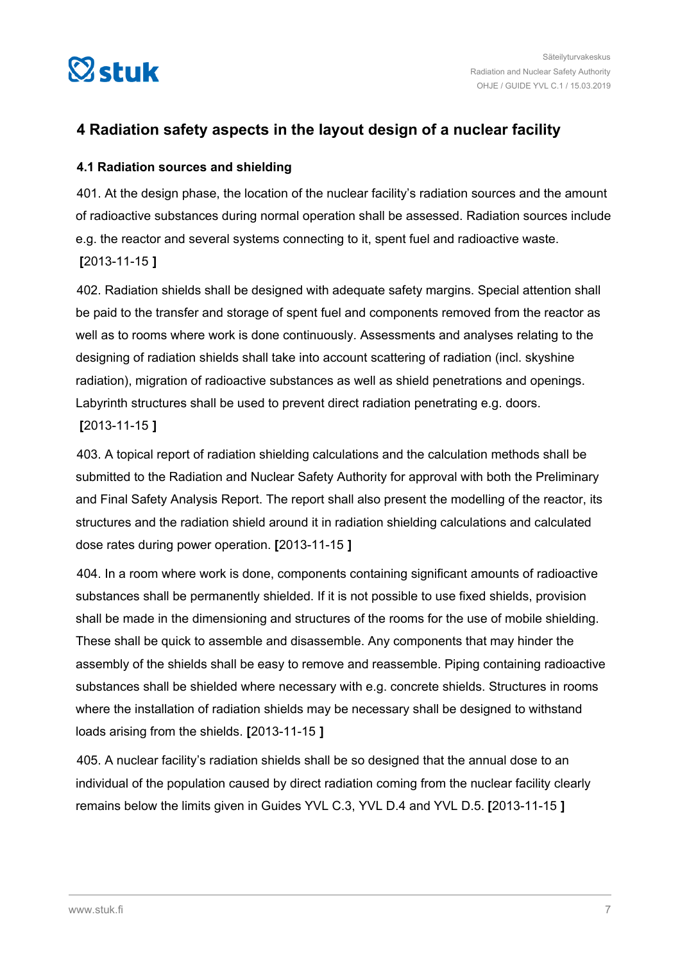<span id="page-6-0"></span>

## **4 Radiation safety aspects in the layout design of a nuclear facility**

## **4.1 Radiation sources and shielding**

401. At the design phase, the location of the nuclear facility's radiation sources and the amount of radioactive substances during normal operation shall be assessed. Radiation sources include e.g. the reactor and several systems connecting to it, spent fuel and radioactive waste. **[**2013-11-15 **]**

402. Radiation shields shall be designed with adequate safety margins. Special attention shall be paid to the transfer and storage of spent fuel and components removed from the reactor as well as to rooms where work is done continuously. Assessments and analyses relating to the designing of radiation shields shall take into account scattering of radiation (incl. skyshine radiation), migration of radioactive substances as well as shield penetrations and openings. Labyrinth structures shall be used to prevent direct radiation penetrating e.g. doors. **[**2013-11-15 **]**

403. A topical report of radiation shielding calculations and the calculation methods shall be submitted to the Radiation and Nuclear Safety Authority for approval with both the Preliminary and Final Safety Analysis Report. The report shall also present the modelling of the reactor, its structures and the radiation shield around it in radiation shielding calculations and calculated dose rates during power operation. **[**2013-11-15 **]**

404. In a room where work is done, components containing significant amounts of radioactive substances shall be permanently shielded. If it is not possible to use fixed shields, provision shall be made in the dimensioning and structures of the rooms for the use of mobile shielding. These shall be quick to assemble and disassemble. Any components that may hinder the assembly of the shields shall be easy to remove and reassemble. Piping containing radioactive substances shall be shielded where necessary with e.g. concrete shields. Structures in rooms where the installation of radiation shields may be necessary shall be designed to withstand loads arising from the shields. **[**2013-11-15 **]**

405. A nuclear facility's radiation shields shall be so designed that the annual dose to an individual of the population caused by direct radiation coming from the nuclear facility clearly remains below the limits given in Guides YVL C.3, YVL D.4 and YVL D.5. **[**2013-11-15 **]**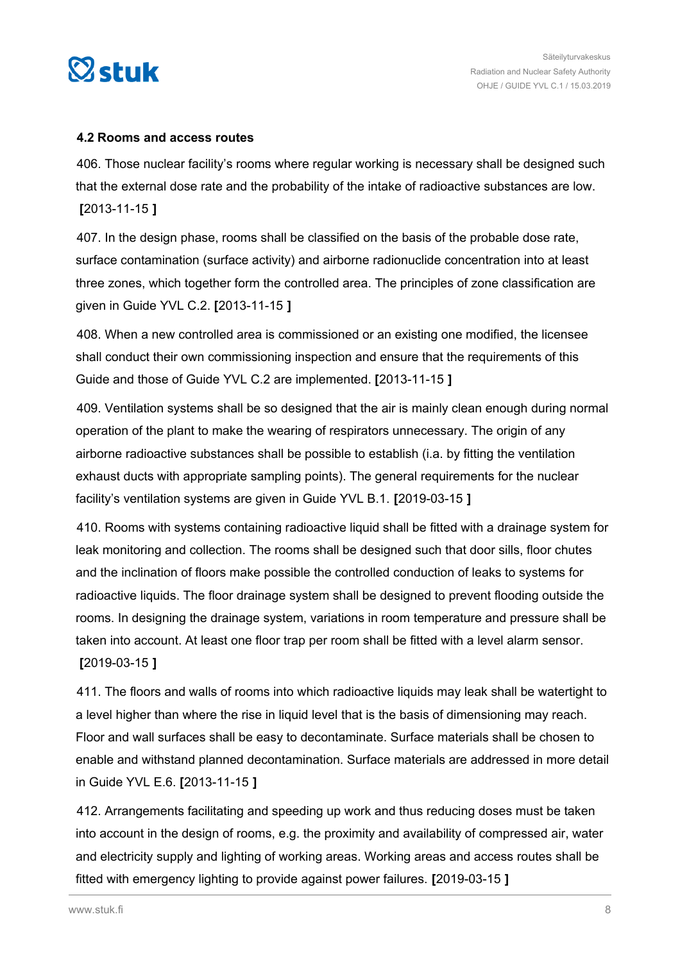<span id="page-7-0"></span>

#### **4.2 Rooms and access routes**

406. Those nuclear facility's rooms where regular working is necessary shall be designed such that the external dose rate and the probability of the intake of radioactive substances are low. **[**2013-11-15 **]**

407. In the design phase, rooms shall be classified on the basis of the probable dose rate, surface contamination (surface activity) and airborne radionuclide concentration into at least three zones, which together form the controlled area. The principles of zone classification are given in Guide YVL C.2. **[**2013-11-15 **]**

408. When a new controlled area is commissioned or an existing one modified, the licensee shall conduct their own commissioning inspection and ensure that the requirements of this Guide and those of Guide YVL C.2 are implemented. **[**2013-11-15 **]**

409. Ventilation systems shall be so designed that the air is mainly clean enough during normal operation of the plant to make the wearing of respirators unnecessary. The origin of any airborne radioactive substances shall be possible to establish (i.a. by fitting the ventilation exhaust ducts with appropriate sampling points). The general requirements for the nuclear facility's ventilation systems are given in Guide YVL B.1. **[**2019-03-15 **]**

410. Rooms with systems containing radioactive liquid shall be fitted with a drainage system for leak monitoring and collection. The rooms shall be designed such that door sills, floor chutes and the inclination of floors make possible the controlled conduction of leaks to systems for radioactive liquids. The floor drainage system shall be designed to prevent flooding outside the rooms. In designing the drainage system, variations in room temperature and pressure shall be taken into account. At least one floor trap per room shall be fitted with a level alarm sensor. **[**2019-03-15 **]**

411. The floors and walls of rooms into which radioactive liquids may leak shall be watertight to a level higher than where the rise in liquid level that is the basis of dimensioning may reach. Floor and wall surfaces shall be easy to decontaminate. Surface materials shall be chosen to enable and withstand planned decontamination. Surface materials are addressed in more detail in Guide YVL E.6. **[**2013-11-15 **]**

412. Arrangements facilitating and speeding up work and thus reducing doses must be taken into account in the design of rooms, e.g. the proximity and availability of compressed air, water and electricity supply and lighting of working areas. Working areas and access routes shall be fitted with emergency lighting to provide against power failures. **[**2019-03-15 **]**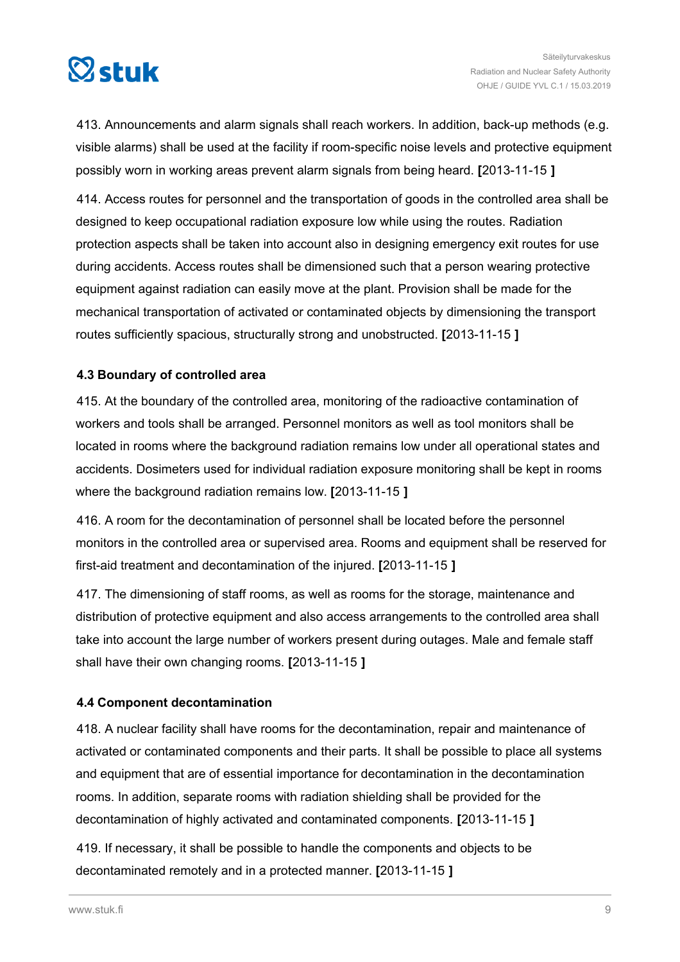<span id="page-8-0"></span>

413. Announcements and alarm signals shall reach workers. In addition, back-up methods (e.g. visible alarms) shall be used at the facility if room-specific noise levels and protective equipment possibly worn in working areas prevent alarm signals from being heard. **[**2013-11-15 **]**

414. Access routes for personnel and the transportation of goods in the controlled area shall be designed to keep occupational radiation exposure low while using the routes. Radiation protection aspects shall be taken into account also in designing emergency exit routes for use during accidents. Access routes shall be dimensioned such that a person wearing protective equipment against radiation can easily move at the plant. Provision shall be made for the mechanical transportation of activated or contaminated objects by dimensioning the transport routes sufficiently spacious, structurally strong and unobstructed. **[**2013-11-15 **]**

## **4.3 Boundary of controlled area**

415. At the boundary of the controlled area, monitoring of the radioactive contamination of workers and tools shall be arranged. Personnel monitors as well as tool monitors shall be located in rooms where the background radiation remains low under all operational states and accidents. Dosimeters used for individual radiation exposure monitoring shall be kept in rooms where the background radiation remains low. **[**2013-11-15 **]**

416. A room for the decontamination of personnel shall be located before the personnel monitors in the controlled area or supervised area. Rooms and equipment shall be reserved for first-aid treatment and decontamination of the injured. **[**2013-11-15 **]**

417. The dimensioning of staff rooms, as well as rooms for the storage, maintenance and distribution of protective equipment and also access arrangements to the controlled area shall take into account the large number of workers present during outages. Male and female staff shall have their own changing rooms. **[**2013-11-15 **]**

#### **4.4 Component decontamination**

418. A nuclear facility shall have rooms for the decontamination, repair and maintenance of activated or contaminated components and their parts. It shall be possible to place all systems and equipment that are of essential importance for decontamination in the decontamination rooms. In addition, separate rooms with radiation shielding shall be provided for the decontamination of highly activated and contaminated components. **[**2013-11-15 **]**

419. If necessary, it shall be possible to handle the components and objects to be decontaminated remotely and in a protected manner. **[**2013-11-15 **]**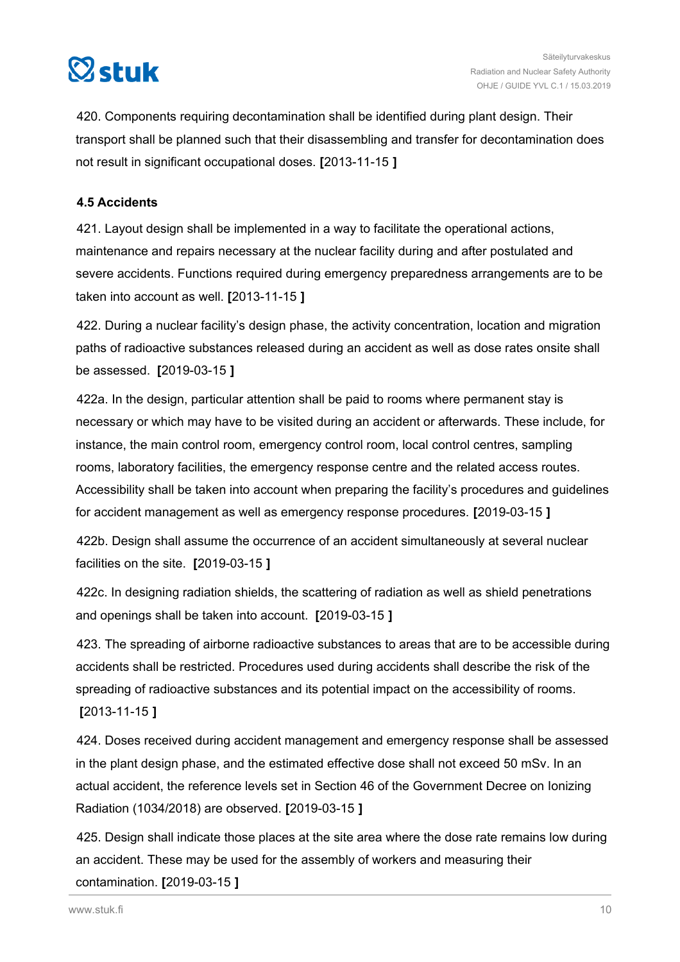<span id="page-9-0"></span>

420. Components requiring decontamination shall be identified during plant design. Their transport shall be planned such that their disassembling and transfer for decontamination does not result in significant occupational doses. **[**2013-11-15 **]**

## **4.5 Accidents**

421. Layout design shall be implemented in a way to facilitate the operational actions, maintenance and repairs necessary at the nuclear facility during and after postulated and severe accidents. Functions required during emergency preparedness arrangements are to be taken into account as well. **[**2013-11-15 **]**

422. During a nuclear facility's design phase, the activity concentration, location and migration paths of radioactive substances released during an accident as well as dose rates onsite shall be assessed. **[**2019-03-15 **]**

422a. In the design, particular attention shall be paid to rooms where permanent stay is necessary or which may have to be visited during an accident or afterwards. These include, for instance, the main control room, emergency control room, local control centres, sampling rooms, laboratory facilities, the emergency response centre and the related access routes. Accessibility shall be taken into account when preparing the facility's procedures and guidelines for accident management as well as emergency response procedures. **[**2019-03-15 **]**

422b. Design shall assume the occurrence of an accident simultaneously at several nuclear facilities on the site. **[**2019-03-15 **]**

422c. In designing radiation shields, the scattering of radiation as well as shield penetrations and openings shall be taken into account. **[**2019-03-15 **]**

423. The spreading of airborne radioactive substances to areas that are to be accessible during accidents shall be restricted. Procedures used during accidents shall describe the risk of the spreading of radioactive substances and its potential impact on the accessibility of rooms. **[**2013-11-15 **]**

424. Doses received during accident management and emergency response shall be assessed in the plant design phase, and the estimated effective dose shall not exceed 50 mSv. In an actual accident, the reference levels set in Section 46 of the Government Decree on Ionizing Radiation (1034/2018) are observed. **[**2019-03-15 **]**

425. Design shall indicate those places at the site area where the dose rate remains low during an accident. These may be used for the assembly of workers and measuring their contamination. **[**2019-03-15 **]**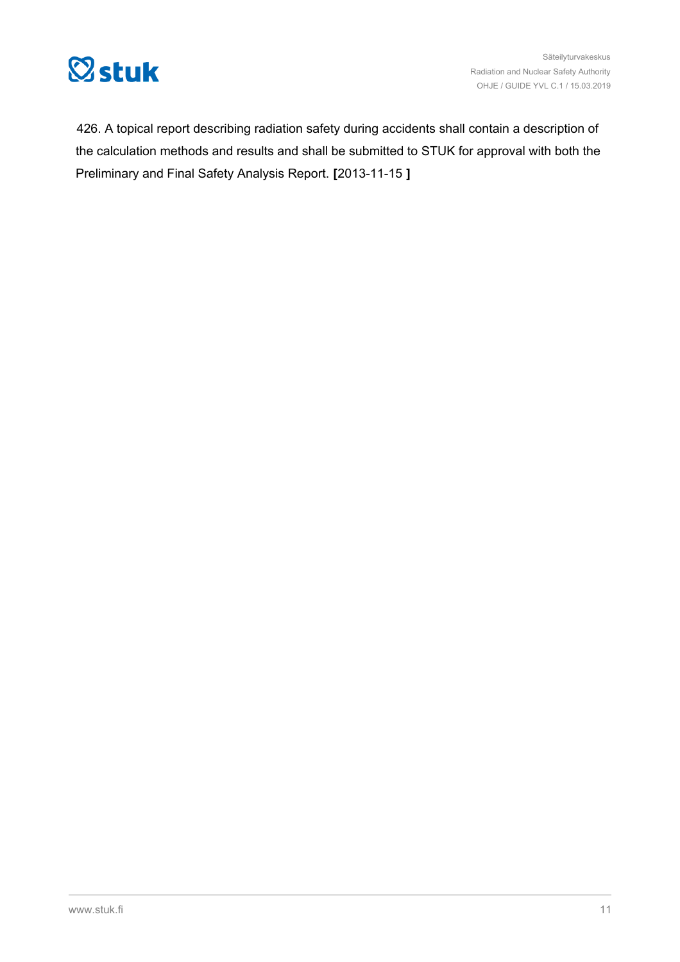

426. A topical report describing radiation safety during accidents shall contain a description of the calculation methods and results and shall be submitted to STUK for approval with both the Preliminary and Final Safety Analysis Report. **[**2013-11-15 **]**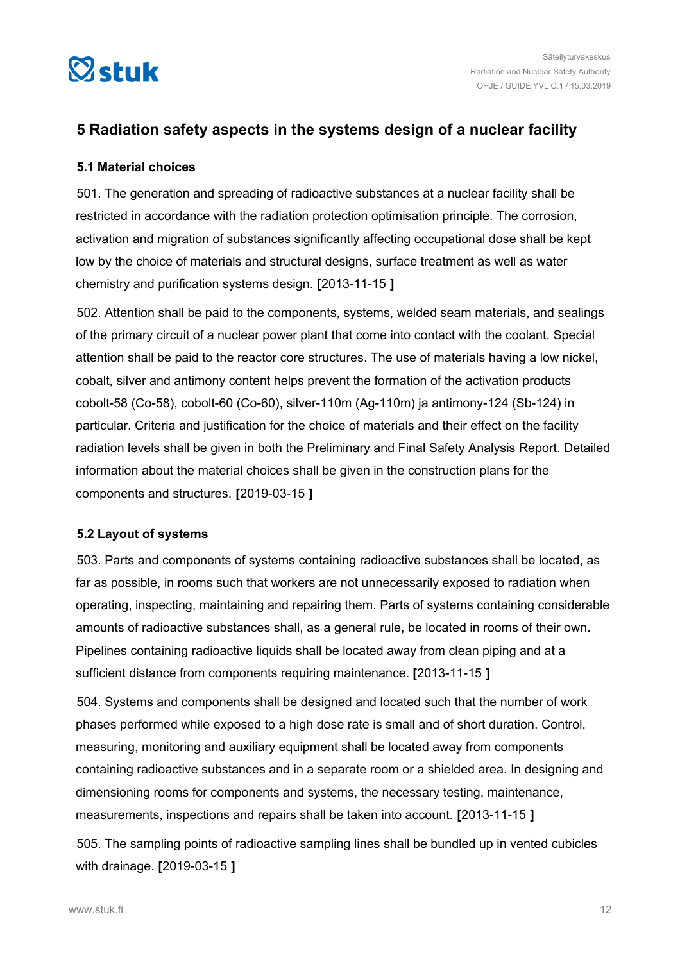<span id="page-11-0"></span>

## **5 Radiation safety aspects in the systems design of a nuclear facility**

## **5.1 Material choices**

501. The generation and spreading of radioactive substances at a nuclear facility shall be restricted in accordance with the radiation protection optimisation principle. The corrosion, activation and migration of substances significantly affecting occupational dose shall be kept low by the choice of materials and structural designs, surface treatment as well as water chemistry and purification systems design. **[**2013-11-15 **]**

502. Attention shall be paid to the components, systems, welded seam materials, and sealings of the primary circuit of a nuclear power plant that come into contact with the coolant. Special attention shall be paid to the reactor core structures. The use of materials having a low nickel, cobalt, silver and antimony content helps prevent the formation of the activation products cobolt-58 (Co-58), cobolt-60 (Co-60), silver-110m (Ag-110m) ja antimony-124 (Sb-124) in particular. Criteria and justification for the choice of materials and their effect on the facility radiation levels shall be given in both the Preliminary and Final Safety Analysis Report. Detailed information about the material choices shall be given in the construction plans for the components and structures. **[**2019-03-15 **]**

## **5.2 Layout of systems**

503. Parts and components of systems containing radioactive substances shall be located, as far as possible, in rooms such that workers are not unnecessarily exposed to radiation when operating, inspecting, maintaining and repairing them. Parts of systems containing considerable amounts of radioactive substances shall, as a general rule, be located in rooms of their own. Pipelines containing radioactive liquids shall be located away from clean piping and at a sufficient distance from components requiring maintenance. **[**2013-11-15 **]**

504. Systems and components shall be designed and located such that the number of work phases performed while exposed to a high dose rate is small and of short duration. Control, measuring, monitoring and auxiliary equipment shall be located away from components containing radioactive substances and in a separate room or a shielded area. In designing and dimensioning rooms for components and systems, the necessary testing, maintenance, measurements, inspections and repairs shall be taken into account. **[**2013-11-15 **]**

505. The sampling points of radioactive sampling lines shall be bundled up in vented cubicles with drainage. **[**2019-03-15 **]**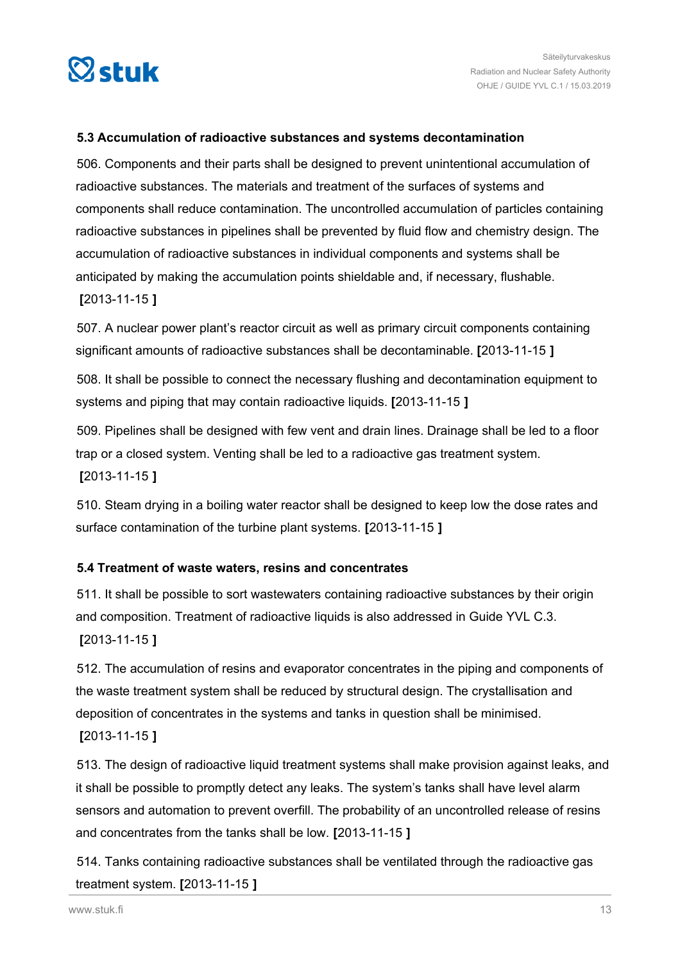<span id="page-12-0"></span>

## **5.3 Accumulation of radioactive substances and systems decontamination**

506. Components and their parts shall be designed to prevent unintentional accumulation of radioactive substances. The materials and treatment of the surfaces of systems and components shall reduce contamination. The uncontrolled accumulation of particles containing radioactive substances in pipelines shall be prevented by fluid flow and chemistry design. The accumulation of radioactive substances in individual components and systems shall be anticipated by making the accumulation points shieldable and, if necessary, flushable. **[**2013-11-15 **]**

507. A nuclear power plant's reactor circuit as well as primary circuit components containing significant amounts of radioactive substances shall be decontaminable. **[**2013-11-15 **]**

508. It shall be possible to connect the necessary flushing and decontamination equipment to systems and piping that may contain radioactive liquids. **[**2013-11-15 **]**

509. Pipelines shall be designed with few vent and drain lines. Drainage shall be led to a floor trap or a closed system. Venting shall be led to a radioactive gas treatment system. **[**2013-11-15 **]**

510. Steam drying in a boiling water reactor shall be designed to keep low the dose rates and surface contamination of the turbine plant systems. **[**2013-11-15 **]**

## **5.4 Treatment of waste waters, resins and concentrates**

511. It shall be possible to sort wastewaters containing radioactive substances by their origin and composition. Treatment of radioactive liquids is also addressed in Guide YVL C.3. **[**2013-11-15 **]**

512. The accumulation of resins and evaporator concentrates in the piping and components of the waste treatment system shall be reduced by structural design. The crystallisation and deposition of concentrates in the systems and tanks in question shall be minimised.

```
[2013-11-15 ]
```
513. The design of radioactive liquid treatment systems shall make provision against leaks, and it shall be possible to promptly detect any leaks. The system's tanks shall have level alarm sensors and automation to prevent overfill. The probability of an uncontrolled release of resins and concentrates from the tanks shall be low. **[**2013-11-15 **]**

514. Tanks containing radioactive substances shall be ventilated through the radioactive gas treatment system. **[**2013-11-15 **]**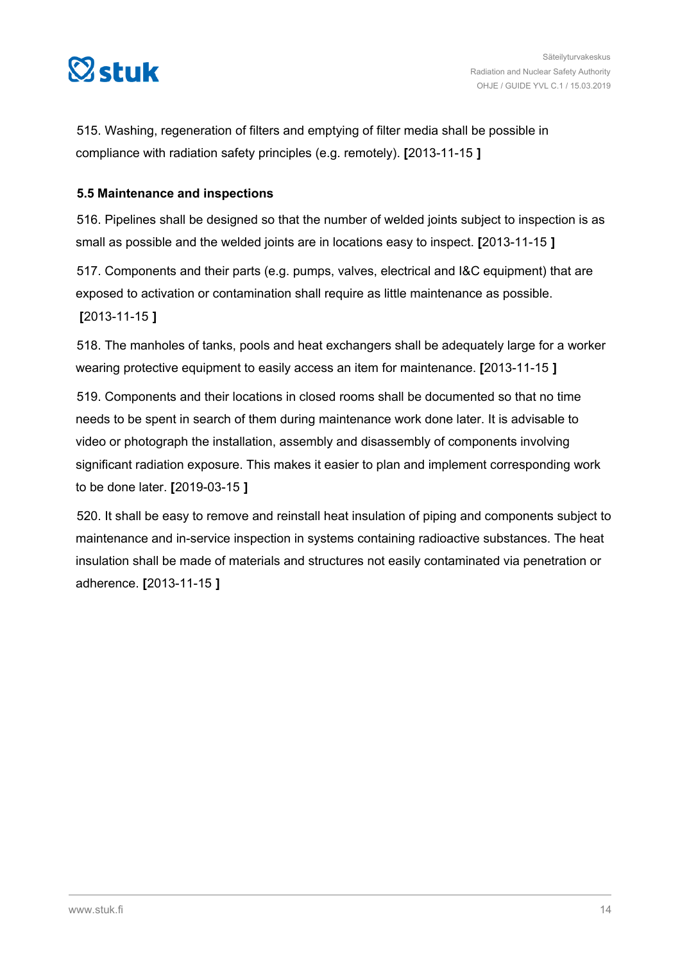<span id="page-13-0"></span>

515. Washing, regeneration of filters and emptying of filter media shall be possible in compliance with radiation safety principles (e.g. remotely). **[**2013-11-15 **]**

## **5.5 Maintenance and inspections**

516. Pipelines shall be designed so that the number of welded joints subject to inspection is as small as possible and the welded joints are in locations easy to inspect. **[**2013-11-15 **]**

517. Components and their parts (e.g. pumps, valves, electrical and I&C equipment) that are exposed to activation or contamination shall require as little maintenance as possible. **[**2013-11-15 **]**

518. The manholes of tanks, pools and heat exchangers shall be adequately large for a worker wearing protective equipment to easily access an item for maintenance. **[**2013-11-15 **]**

519. Components and their locations in closed rooms shall be documented so that no time needs to be spent in search of them during maintenance work done later. It is advisable to video or photograph the installation, assembly and disassembly of components involving significant radiation exposure. This makes it easier to plan and implement corresponding work to be done later. **[**2019-03-15 **]**

520. It shall be easy to remove and reinstall heat insulation of piping and components subject to maintenance and in-service inspection in systems containing radioactive substances. The heat insulation shall be made of materials and structures not easily contaminated via penetration or adherence. **[**2013-11-15 **]**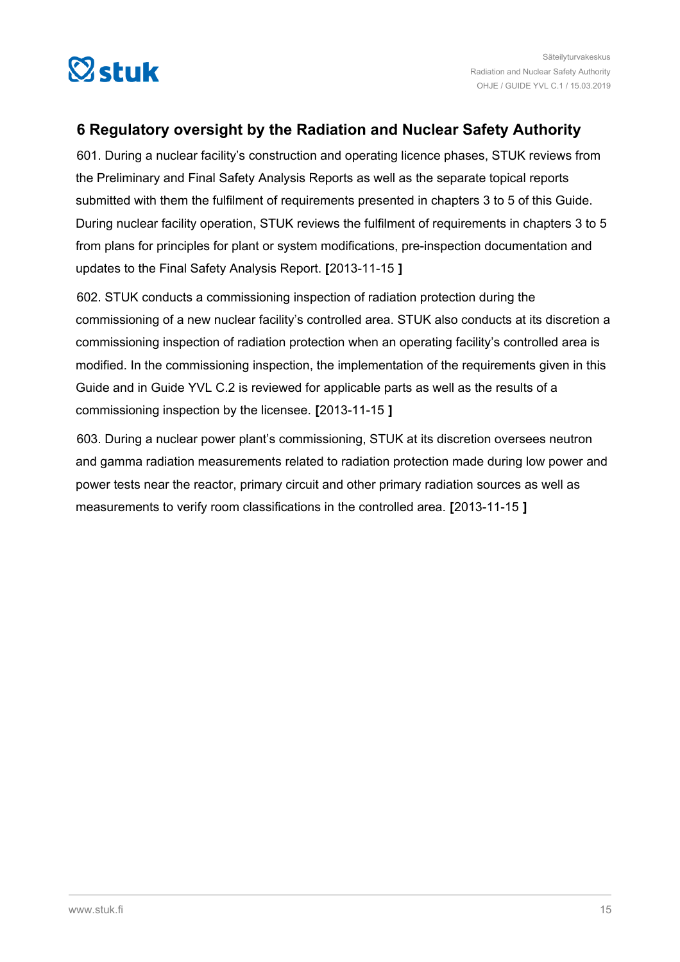<span id="page-14-0"></span>

## **6 Regulatory oversight by the Radiation and Nuclear Safety Authority**

601. During a nuclear facility's construction and operating licence phases, STUK reviews from the Preliminary and Final Safety Analysis Reports as well as the separate topical reports submitted with them the fulfilment of requirements presented in chapters 3 to 5 of this Guide. During nuclear facility operation, STUK reviews the fulfilment of requirements in chapters 3 to 5 from plans for principles for plant or system modifications, pre-inspection documentation and updates to the Final Safety Analysis Report. **[**2013-11-15 **]**

602. STUK conducts a commissioning inspection of radiation protection during the commissioning of a new nuclear facility's controlled area. STUK also conducts at its discretion a commissioning inspection of radiation protection when an operating facility's controlled area is modified. In the commissioning inspection, the implementation of the requirements given in this Guide and in Guide YVL C.2 is reviewed for applicable parts as well as the results of a commissioning inspection by the licensee. **[**2013-11-15 **]**

603. During a nuclear power plant's commissioning, STUK at its discretion oversees neutron and gamma radiation measurements related to radiation protection made during low power and power tests near the reactor, primary circuit and other primary radiation sources as well as measurements to verify room classifications in the controlled area. **[**2013-11-15 **]**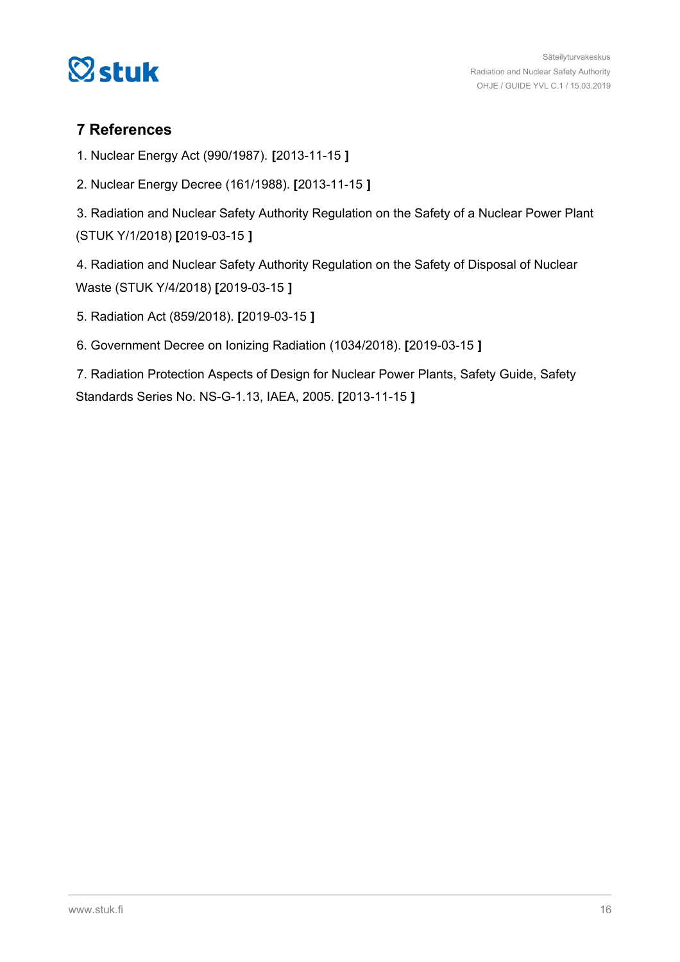<span id="page-15-0"></span>

## **7 References**

1. Nuclear Energy Act (990/1987). **[**2013-11-15 **]**

2. Nuclear Energy Decree (161/1988). **[**2013-11-15 **]**

3. Radiation and Nuclear Safety Authority Regulation on the Safety of a Nuclear Power Plant (STUK Y/1/2018) **[**2019-03-15 **]**

4. Radiation and Nuclear Safety Authority Regulation on the Safety of Disposal of Nuclear Waste (STUK Y/4/2018) **[**2019-03-15 **]**

- 5. Radiation Act (859/2018). **[**2019-03-15 **]**
- 6. Government Decree on Ionizing Radiation (1034/2018). **[**2019-03-15 **]**

7. Radiation Protection Aspects of Design for Nuclear Power Plants, Safety Guide, Safety Standards Series No. NS-G-1.13, IAEA, 2005. **[**2013-11-15 **]**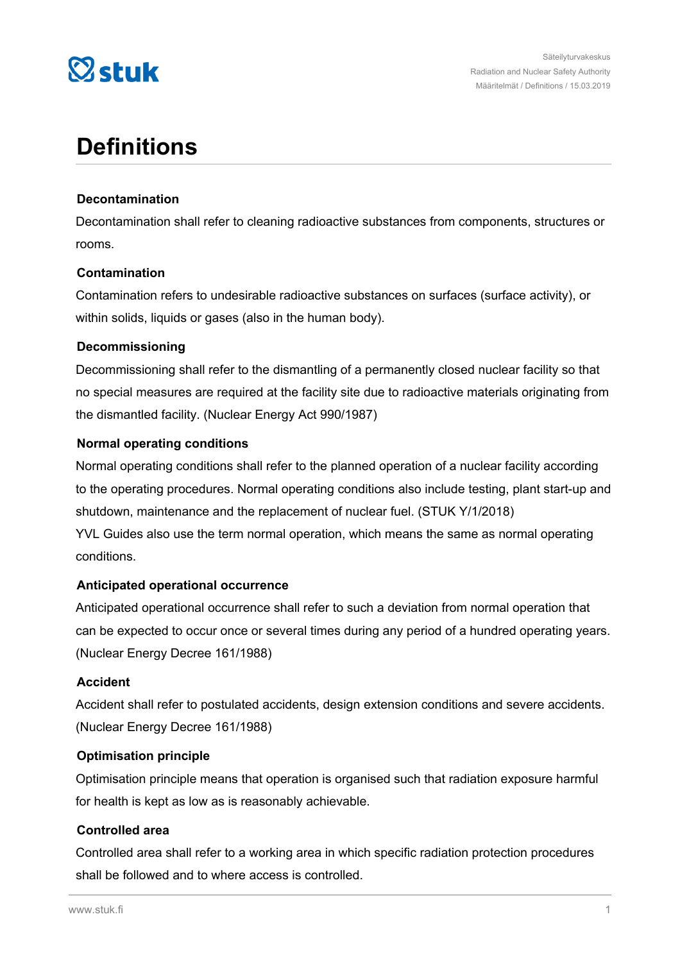

## **Definitions**

## **Decontamination**

Decontamination shall refer to cleaning radioactive substances from components, structures or rooms.

### **Contamination**

Contamination refers to undesirable radioactive substances on surfaces (surface activity), or within solids, liquids or gases (also in the human body).

### **Decommissioning**

Decommissioning shall refer to the dismantling of a permanently closed nuclear facility so that no special measures are required at the facility site due to radioactive materials originating from the dismantled facility. (Nuclear Energy Act 990/1987)

### **Normal operating conditions**

Normal operating conditions shall refer to the planned operation of a nuclear facility according to the operating procedures. Normal operating conditions also include testing, plant start-up and shutdown, maintenance and the replacement of nuclear fuel. (STUK Y/1/2018) YVL Guides also use the term normal operation, which means the same as normal operating conditions.

## **Anticipated operational occurrence**

Anticipated operational occurrence shall refer to such a deviation from normal operation that can be expected to occur once or several times during any period of a hundred operating years. (Nuclear Energy Decree 161/1988)

## **Accident**

Accident shall refer to postulated accidents, design extension conditions and severe accidents. (Nuclear Energy Decree 161/1988)

#### **Optimisation principle**

Optimisation principle means that operation is organised such that radiation exposure harmful for health is kept as low as is reasonably achievable.

## **Controlled area**

Controlled area shall refer to a working area in which specific radiation protection procedures shall be followed and to where access is controlled.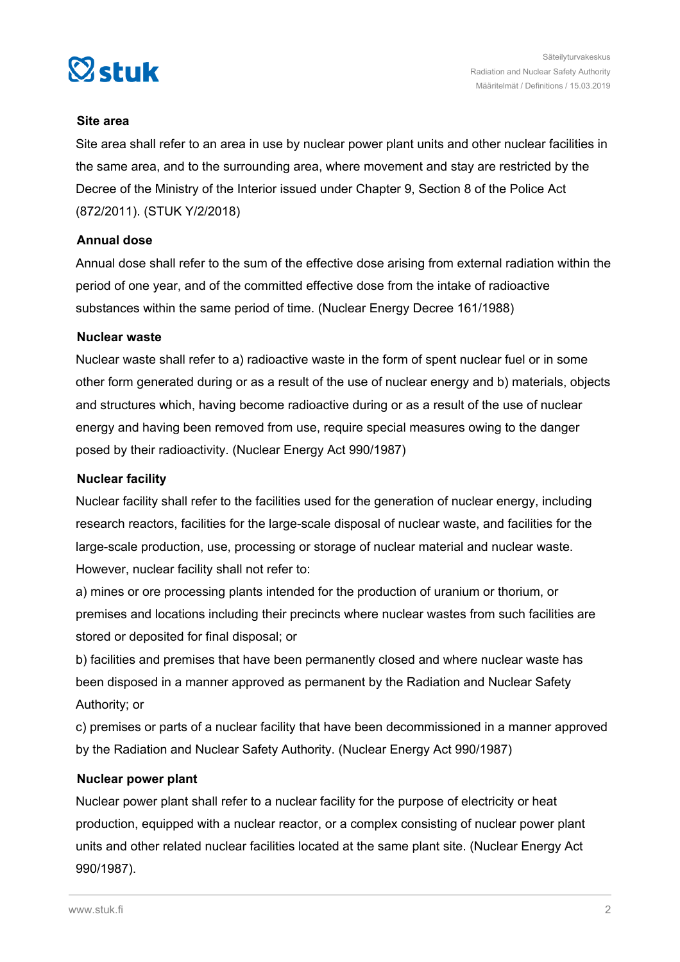

#### **Site area**

Site area shall refer to an area in use by nuclear power plant units and other nuclear facilities in the same area, and to the surrounding area, where movement and stay are restricted by the Decree of the Ministry of the Interior issued under Chapter 9, Section 8 of the Police Act (872/2011). (STUK Y/2/2018)

### **Annual dose**

Annual dose shall refer to the sum of the effective dose arising from external radiation within the period of one year, and of the committed effective dose from the intake of radioactive substances within the same period of time. (Nuclear Energy Decree 161/1988)

### **Nuclear waste**

Nuclear waste shall refer to a) radioactive waste in the form of spent nuclear fuel or in some other form generated during or as a result of the use of nuclear energy and b) materials, objects and structures which, having become radioactive during or as a result of the use of nuclear energy and having been removed from use, require special measures owing to the danger posed by their radioactivity. (Nuclear Energy Act 990/1987)

### **Nuclear facility**

Nuclear facility shall refer to the facilities used for the generation of nuclear energy, including research reactors, facilities for the large-scale disposal of nuclear waste, and facilities for the large-scale production, use, processing or storage of nuclear material and nuclear waste. However, nuclear facility shall not refer to:

a) mines or ore processing plants intended for the production of uranium or thorium, or premises and locations including their precincts where nuclear wastes from such facilities are stored or deposited for final disposal; or

b) facilities and premises that have been permanently closed and where nuclear waste has been disposed in a manner approved as permanent by the Radiation and Nuclear Safety Authority; or

c) premises or parts of a nuclear facility that have been decommissioned in a manner approved by the Radiation and Nuclear Safety Authority. (Nuclear Energy Act 990/1987)

#### **Nuclear power plant**

Nuclear power plant shall refer to a nuclear facility for the purpose of electricity or heat production, equipped with a nuclear reactor, or a complex consisting of nuclear power plant units and other related nuclear facilities located at the same plant site. (Nuclear Energy Act 990/1987).